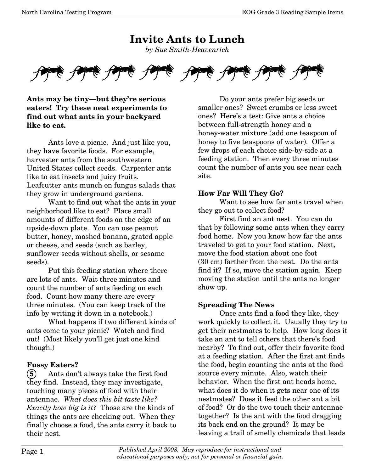**Invite Ants to Lunch**  *by Sue Smith-Heavenrich* 



**Ants may be tiny–but they're serious eaters! Try these neat experiments to find out what ants in your backyard like to eat.** 

 Ants love a picnic. And just like you, they have favorite foods. For example, harvester ants from the southwestern United States collect seeds. Carpenter ants like to eat insects and juicy fruits. Leafcutter ants munch on fungus salads that they grow in underground gardens.

 Want to find out what the ants in your neighborhood like to eat? Place small amounts of different foods on the edge of an upside-down plate. You can use peanut butter, honey, mashed banana, grated apple or cheese, and seeds (such as barley, sunflower seeds without shells, or sesame seeds).

 Put this feeding station where there are lots of ants. Wait three minutes and count the number of ants feeding on each food. Count how many there are every three minutes. (You can keep track of the info by writing it down in a notebook.)

 What happens if two different kinds of ants come to your picnic? Watch and find out! (Most likely you'll get just one kind though.)

#### **Fussy Eaters?**

**5** Ants don't always take the first food they find. Instead, they may investigate, touching many pieces of food with their antennae. *What does this bit taste like? Exactly how big is it?* Those are the kinds of things the ants are checking out. When they finally choose a food, the ants carry it back to their nest.

 Do your ants prefer big seeds or smaller ones? Sweet crumbs or less sweet ones? Here's a test: Give ants a choice between full-strength honey and a honey-water mixture (add one teaspoon of honey to five teaspoons of water). Offer a few drops of each choice side-by-side at a feeding station. Then every three minutes count the number of ants you see near each site.

### **How Far Will They Go?**

 Want to see how far ants travel when they go out to collect food?

 First find an ant nest. You can do that by following some ants when they carry food home. Now you know how far the ants traveled to get to your food station. Next, move the food station about one foot (30 cm) farther from the nest. Do the ants find it? If so, move the station again. Keep moving the station until the ants no longer show up.

#### **Spreading The News**

 Once ants find a food they like, they work quickly to collect it. Usually they try to get their nestmates to help. How long does it take an ant to tell others that there's food nearby? To find out, offer their favorite food at a feeding station. After the first ant finds the food, begin counting the ants at the food source every minute. Also, watch their behavior. When the first ant heads home, what does it do when it gets near one of its nestmates? Does it feed the other ant a bit of food? Or do the two touch their antennae together? Is the ant with the food dragging its back end on the ground? It may be leaving a trail of smelly chemicals that leads

Page 1 *Published April 2008. May reproduce for instructional and educational purposes only; not for personal or financial gain.*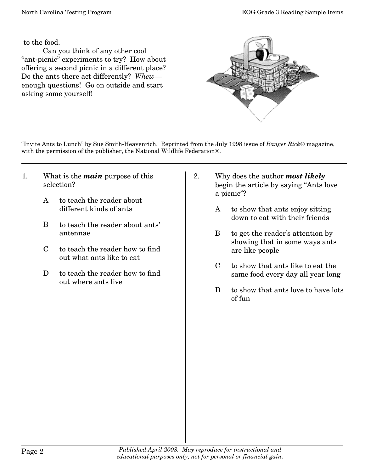to the food.

 Can you think of any other cool "ant-picnic" experiments to try? How about offering a second picnic in a different place? Do the ants there act differently? *Whew*– enough questions! Go on outside and start asking some yourself!



"Invite Ants to Lunch" by Sue Smith-Heavenrich. Reprinted from the July 1998 issue of *Ranger Rick*® magazine, with the permission of the publisher, the National Wildlife Federation®.

- 1. What is the *main* purpose of this selection?
	- A to teach the reader about different kinds of ants
	- B to teach the reader about ants' antennae
	- C to teach the reader how to find out what ants like to eat
	- D to teach the reader how to find out where ants live
- 2. Why does the author *most likely* begin the article by saying "Ants love a picnic"?
	- A to show that ants enjoy sitting down to eat with their friends
	- B to get the reader's attention by showing that in some ways ants are like people
	- C to show that ants like to eat the same food every day all year long
	- D to show that ants love to have lots of fun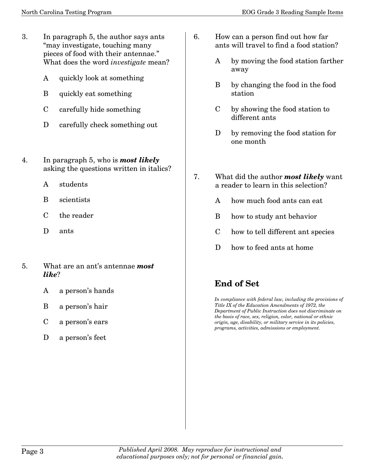- 3. In paragraph 5, the author says ants "may investigate, touching many pieces of food with their antennae." What does the word *investigate* mean?
	- A quickly look at something
	- B quickly eat something
	- C carefully hide something
	- D carefully check something out
- 4. In paragraph 5, who is *most likely* asking the questions written in italics?
	- A students
	- B scientists
	- C the reader
	- D ants
- 5. What are an ant's antennae *most like*?
	- A a person's hands
	- B a person's hair
	- C a person's ears
	- D a person's feet
- 6. How can a person find out how far ants will travel to find a food station?
	- A by moving the food station farther away
	- B by changing the food in the food station
	- C by showing the food station to different ants
	- D by removing the food station for one month
- 7. What did the author *most likely* want a reader to learn in this selection?
	- A how much food ants can eat
	- B how to study ant behavior
	- C how to tell different ant species
	- D how to feed ants at home

## **End of Set**

*In compliance with federal law, including the provisions of Title IX of the Education Amendments of 1972, the Department of Public Instruction does not discriminate on the basis of race, sex, religion, color, national or ethnic origin, age, disability, or military service in its policies, programs, activities, admissions or employment.*